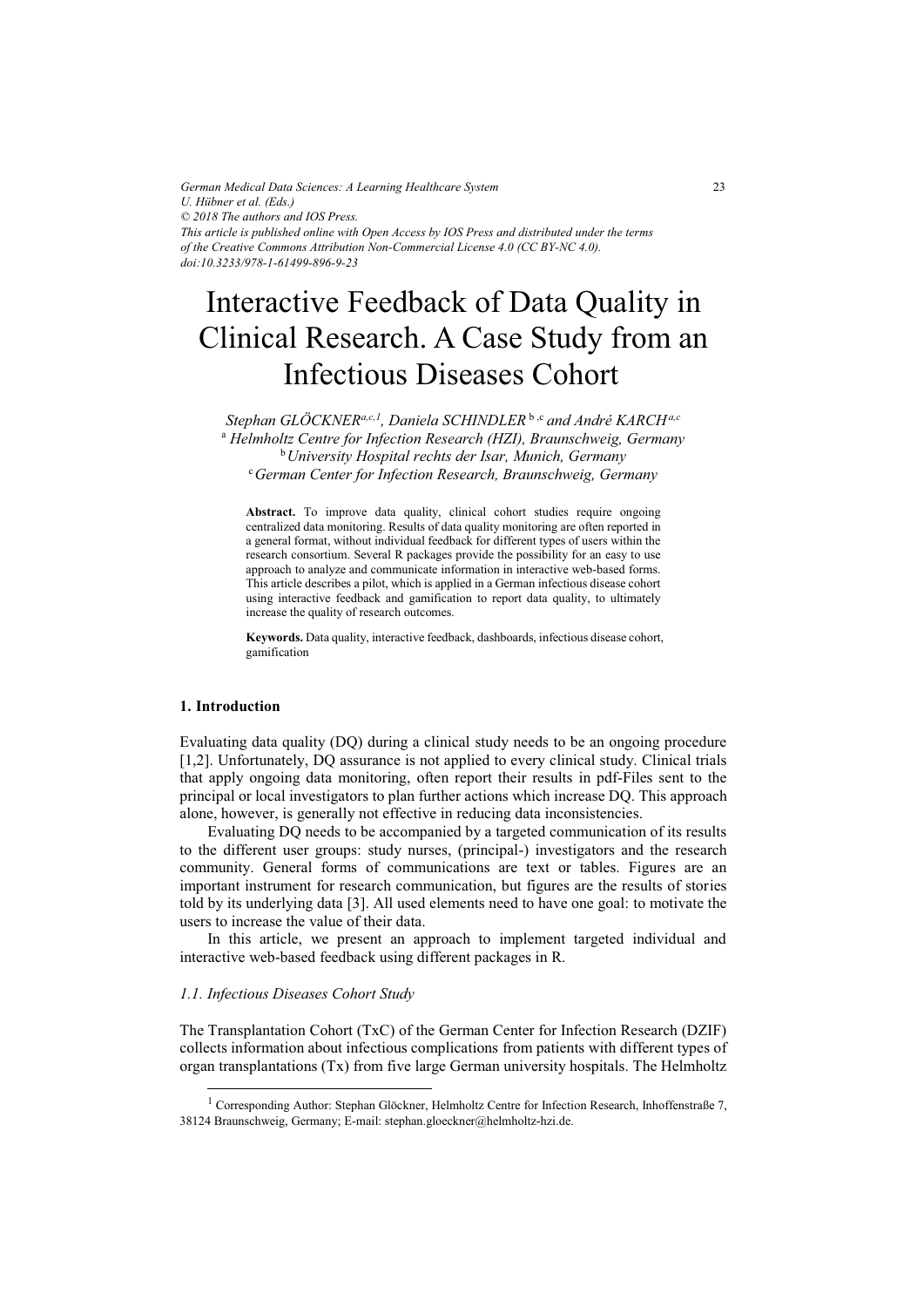*German Medical Data Sciences: A Learning Healthcare System U. Hübner et al. (Eds.) © 2018 The authors and IOS Press. This article is published online with Open Access by IOS Press and distributed under the terms of the Creative Commons Attribution Non-Commercial License 4.0 (CC BY-NC 4.0). doi:10.3233/978-1-61499-896-9-23*

# Interactive Feedback of Data Quality in Clinical Research. A Case Study from an Infectious Diseases Cohort

*Stephan GLÖCKNERa,c,1, Daniela SCHINDLER* b ,c *and André KARCHa,c* a  *Helmholtz Centre for Infection Research (HZI), Braunschweig, Germany*  b*University Hospital rechts der Isar, Munich, Germany* <sup>c</sup>*German Center for Infection Research, Braunschweig, Germany* 

**Abstract.** To improve data quality, clinical cohort studies require ongoing centralized data monitoring. Results of data quality monitoring are often reported in a general format, without individual feedback for different types of users within the research consortium. Several R packages provide the possibility for an easy to use approach to analyze and communicate information in interactive web-based forms. This article describes a pilot, which is applied in a German infectious disease cohort using interactive feedback and gamification to report data quality, to ultimately increase the quality of research outcomes.

**Keywords.** Data quality, interactive feedback, dashboards, infectious disease cohort, gamification

# **1. Introduction**

j

Evaluating data quality (DQ) during a clinical study needs to be an ongoing procedure [1,2]. Unfortunately, DQ assurance is not applied to every clinical study. Clinical trials that apply ongoing data monitoring, often report their results in pdf-Files sent to the principal or local investigators to plan further actions which increase DQ. This approach alone, however, is generally not effective in reducing data inconsistencies.

Evaluating DQ needs to be accompanied by a targeted communication of its results to the different user groups: study nurses, (principal-) investigators and the research community. General forms of communications are text or tables. Figures are an important instrument for research communication, but figures are the results of stories told by its underlying data [3]. All used elements need to have one goal: to motivate the users to increase the value of their data.

In this article, we present an approach to implement targeted individual and interactive web-based feedback using different packages in R.

## *1.1. Infectious Diseases Cohort Study*

The Transplantation Cohort (TxC) of the German Center for Infection Research (DZIF) collects information about infectious complications from patients with different types of organ transplantations (Tx) from five large German university hospitals. The Helmholtz

<sup>&</sup>lt;sup>1</sup> Corresponding Author: Stephan Glöckner, Helmholtz Centre for Infection Research, Inhoffenstraße 7, 38124 Braunschweig, Germany; E-mail: stephan.gloeckner@helmholtz-hzi.de.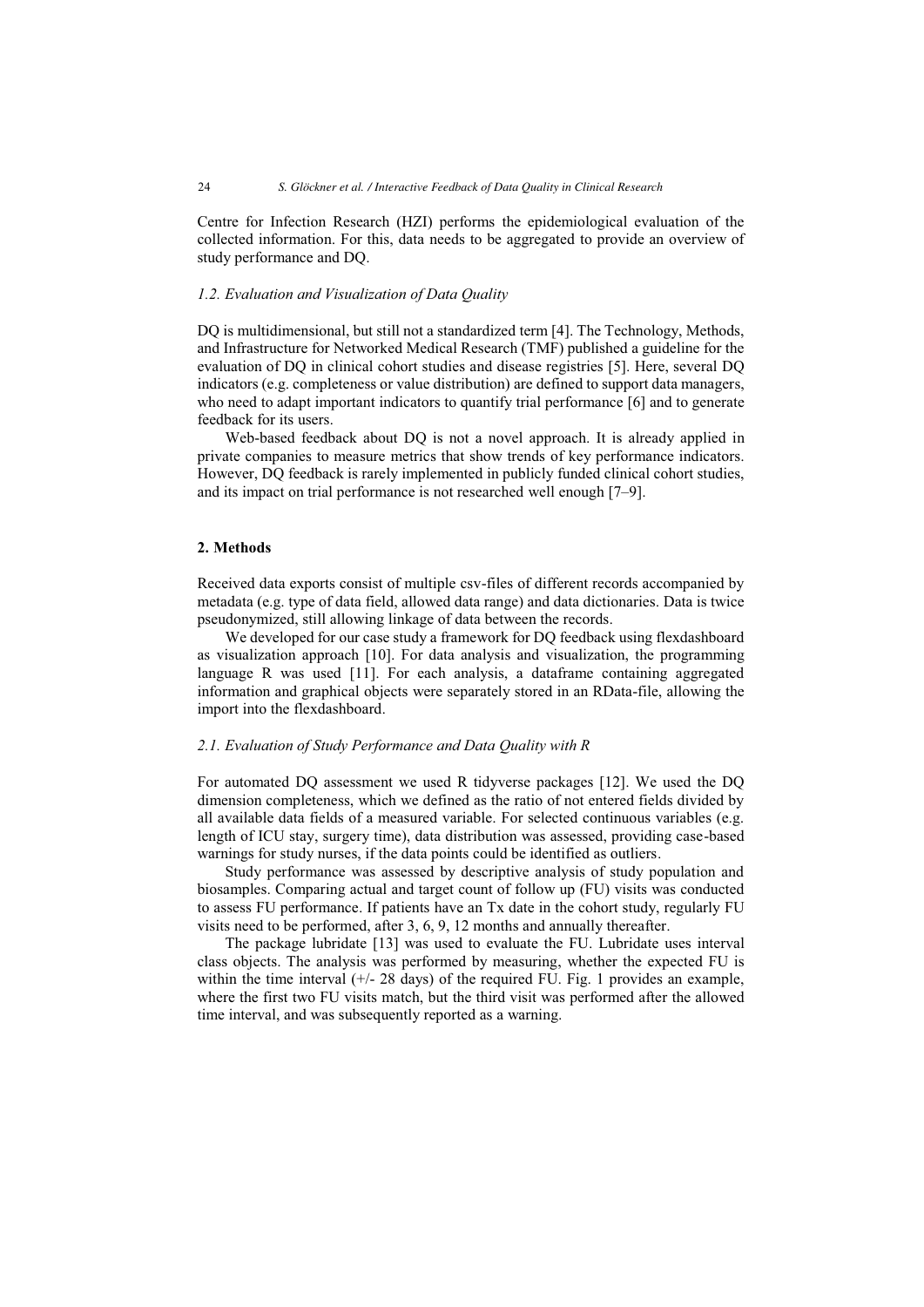Centre for Infection Research (HZI) performs the epidemiological evaluation of the collected information. For this, data needs to be aggregated to provide an overview of study performance and DQ.

#### *1.2. Evaluation and Visualization of Data Quality*

DQ is multidimensional, but still not a standardized term [4]. The Technology, Methods, and Infrastructure for Networked Medical Research (TMF) published a guideline for the evaluation of DQ in clinical cohort studies and disease registries [5]. Here, several DQ indicators (e.g. completeness or value distribution) are defined to support data managers, who need to adapt important indicators to quantify trial performance [6] and to generate feedback for its users.

Web-based feedback about DQ is not a novel approach. It is already applied in private companies to measure metrics that show trends of key performance indicators. However, DQ feedback is rarely implemented in publicly funded clinical cohort studies, and its impact on trial performance is not researched well enough [7–9].

# **2. Methods**

Received data exports consist of multiple csv-files of different records accompanied by metadata (e.g. type of data field, allowed data range) and data dictionaries. Data is twice pseudonymized, still allowing linkage of data between the records.

We developed for our case study a framework for DQ feedback using flexdashboard as visualization approach [10]. For data analysis and visualization, the programming language R was used [11]. For each analysis, a dataframe containing aggregated information and graphical objects were separately stored in an RData-file, allowing the import into the flexdashboard.

## *2.1. Evaluation of Study Performance and Data Quality with R*

For automated DQ assessment we used R tidyverse packages [12]. We used the DQ dimension completeness, which we defined as the ratio of not entered fields divided by all available data fields of a measured variable. For selected continuous variables (e.g. length of ICU stay, surgery time), data distribution was assessed, providing case-based warnings for study nurses, if the data points could be identified as outliers.

Study performance was assessed by descriptive analysis of study population and biosamples. Comparing actual and target count of follow up (FU) visits was conducted to assess FU performance. If patients have an Tx date in the cohort study, regularly FU visits need to be performed, after 3, 6, 9, 12 months and annually thereafter.

The package lubridate [13] was used to evaluate the FU. Lubridate uses interval class objects. The analysis was performed by measuring, whether the expected FU is within the time interval  $(+/28 \text{ days})$  of the required FU. Fig. 1 provides an example, where the first two FU visits match, but the third visit was performed after the allowed time interval, and was subsequently reported as a warning.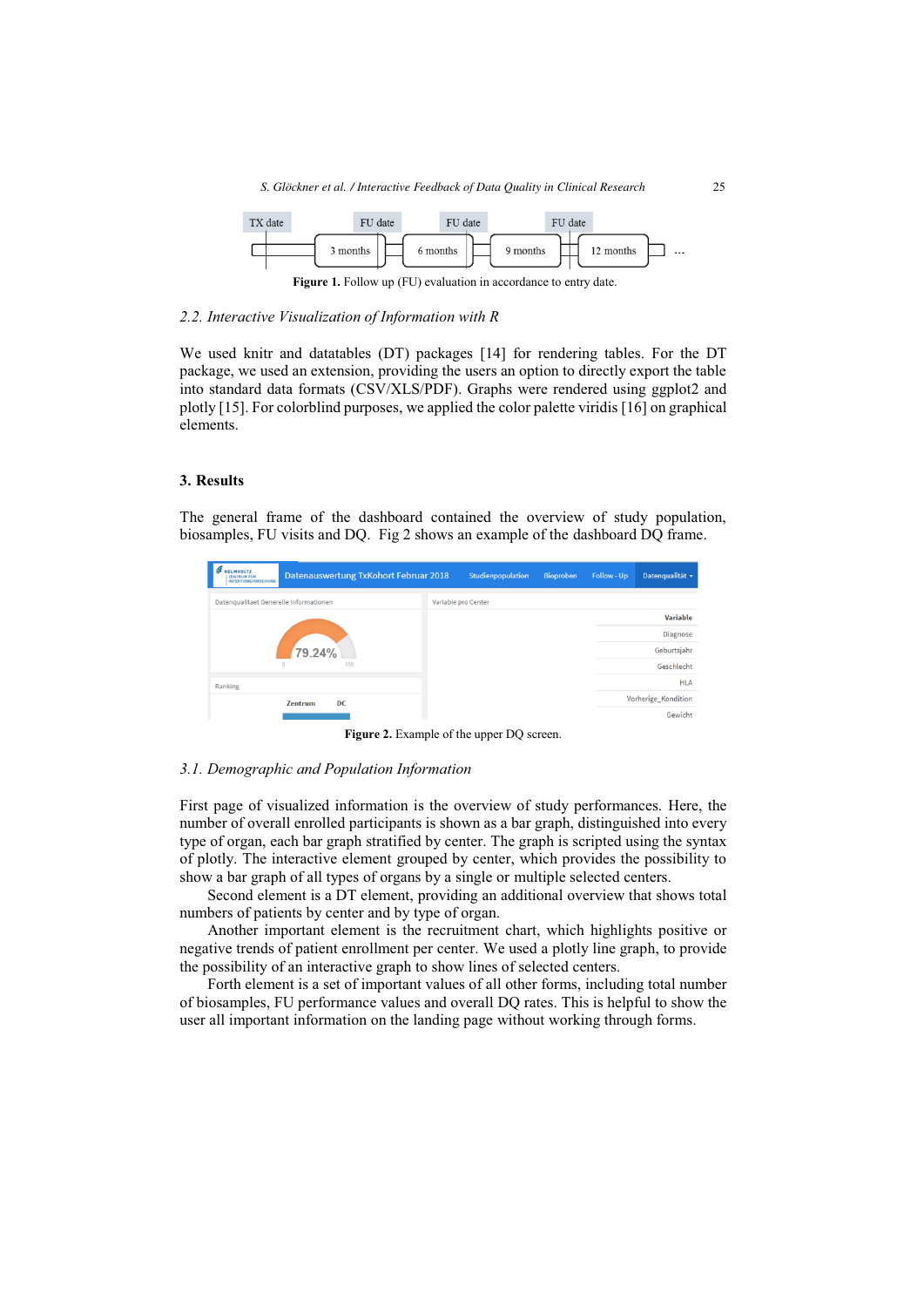

**Figure 1.** Follow up (FU) evaluation in accordance to entry date.

#### *2.2. Interactive Visualization of Information with R*

We used knitr and datatables (DT) packages [14] for rendering tables. For the DT package, we used an extension, providing the users an option to directly export the table into standard data formats (CSV/XLS/PDF). Graphs were rendered using ggplot2 and plotly [15]. For colorblind purposes, we applied the color palette viridis [16] on graphical elements.

# **3. Results**

The general frame of the dashboard contained the overview of study population, biosamples, FU visits and DQ. Fig 2 shows an example of the dashboard DQ frame.



**Figure 2.** Example of the upper DQ screen.

## *3.1. Demographic and Population Information*

First page of visualized information is the overview of study performances. Here, the number of overall enrolled participants is shown as a bar graph, distinguished into every type of organ, each bar graph stratified by center. The graph is scripted using the syntax of plotly. The interactive element grouped by center, which provides the possibility to show a bar graph of all types of organs by a single or multiple selected centers.

Second element is a DT element, providing an additional overview that shows total numbers of patients by center and by type of organ.

Another important element is the recruitment chart, which highlights positive or negative trends of patient enrollment per center. We used a plotly line graph, to provide the possibility of an interactive graph to show lines of selected centers.

Forth element is a set of important values of all other forms, including total number of biosamples, FU performance values and overall DQ rates. This is helpful to show the user all important information on the landing page without working through forms.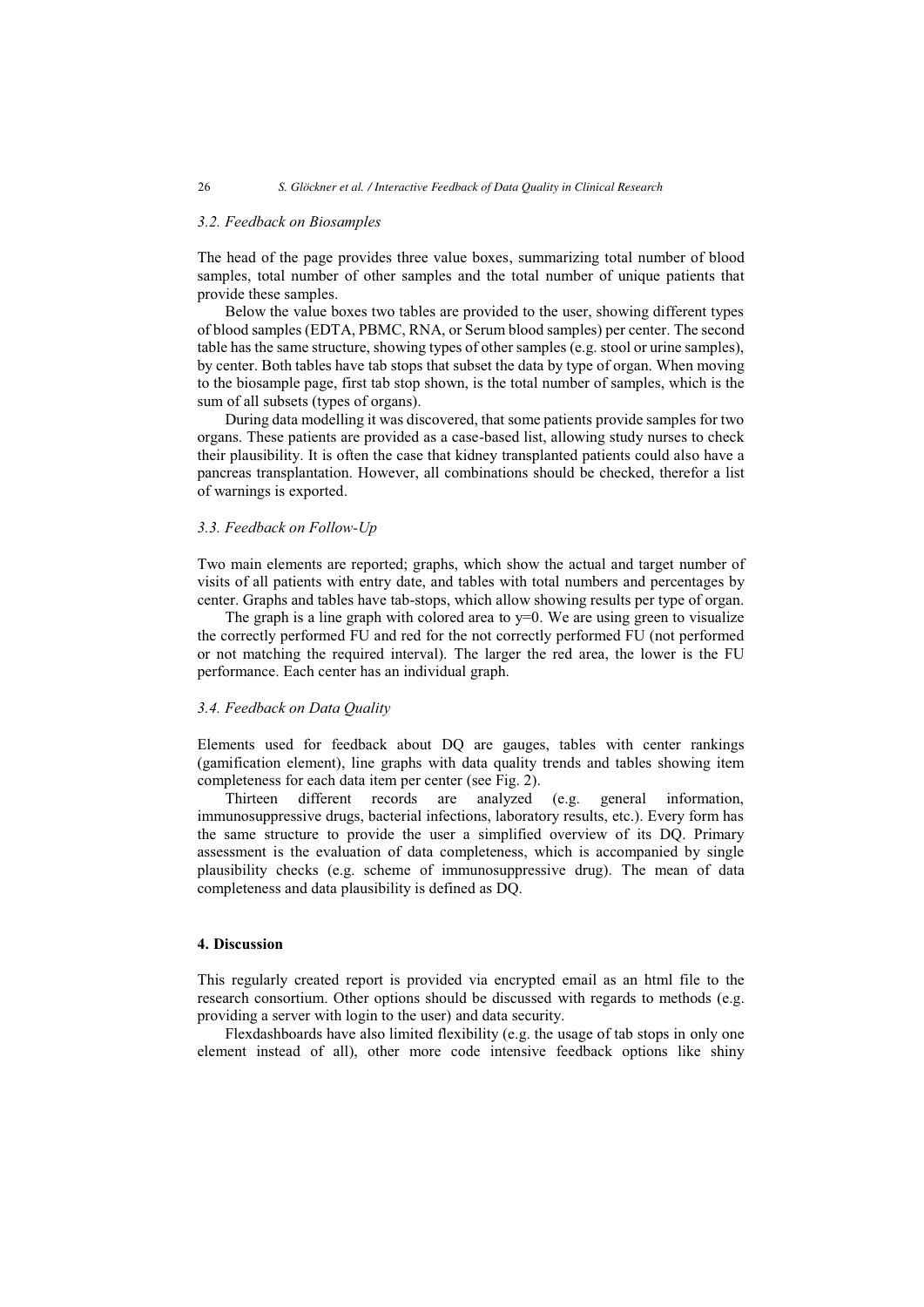# *3.2. Feedback on Biosamples*

The head of the page provides three value boxes, summarizing total number of blood samples, total number of other samples and the total number of unique patients that provide these samples.

Below the value boxes two tables are provided to the user, showing different types of blood samples (EDTA, PBMC, RNA, or Serum blood samples) per center. The second table has the same structure, showing types of other samples (e.g. stool or urine samples), by center. Both tables have tab stops that subset the data by type of organ. When moving to the biosample page, first tab stop shown, is the total number of samples, which is the sum of all subsets (types of organs).

During data modelling it was discovered, that some patients provide samples for two organs. These patients are provided as a case-based list, allowing study nurses to check their plausibility. It is often the case that kidney transplanted patients could also have a pancreas transplantation. However, all combinations should be checked, therefor a list of warnings is exported.

#### *3.3. Feedback on Follow-Up*

Two main elements are reported; graphs, which show the actual and target number of visits of all patients with entry date, and tables with total numbers and percentages by center. Graphs and tables have tab-stops, which allow showing results per type of organ.

The graph is a line graph with colored area to  $y=0$ . We are using green to visualize the correctly performed FU and red for the not correctly performed FU (not performed or not matching the required interval). The larger the red area, the lower is the FU performance. Each center has an individual graph.

#### *3.4. Feedback on Data Quality*

Elements used for feedback about DQ are gauges, tables with center rankings (gamification element), line graphs with data quality trends and tables showing item completeness for each data item per center (see Fig. 2).

Thirteen different records are analyzed (e.g. general information, immunosuppressive drugs, bacterial infections, laboratory results, etc.). Every form has the same structure to provide the user a simplified overview of its DQ. Primary assessment is the evaluation of data completeness, which is accompanied by single plausibility checks (e.g. scheme of immunosuppressive drug). The mean of data completeness and data plausibility is defined as DQ.

# **4. Discussion**

This regularly created report is provided via encrypted email as an html file to the research consortium. Other options should be discussed with regards to methods (e.g. providing a server with login to the user) and data security.

Flexdashboards have also limited flexibility (e.g. the usage of tab stops in only one element instead of all), other more code intensive feedback options like shiny